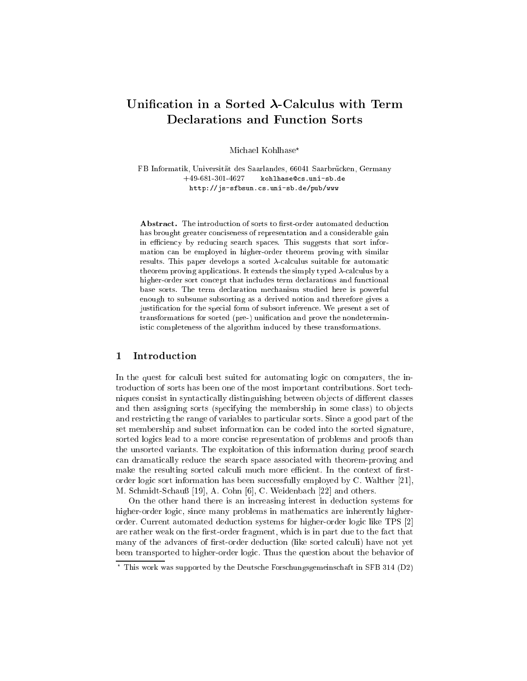# Unification in a Sorted  $\lambda$ -Calculus with Term Declarations and Function Sorts

Michael Kohlhase\*

FB Informatik, Universität des Saarlandes, 66041 Saarbrücken, Germany +49-681-301-4627 kohlhase@cs.uni-sb.de http://js-sfbsun.cs.uni-sb.de/pub/www

Abstract. The introduction of sorts to first-order automated deduction has brought greater conciseness of representation and a considerable gain in efficiency by reducing search spaces. This suggests that sort information an be employed in higher-order theorem proving with similar results. This paper develops a sorted  $\lambda$ -calculus suitable for automatic theorem proving applications. It extends the simply typed  $\lambda$ -calculus by a higher-order sort concept that includes term declarations and functional base sorts. The term de
laration me
hanism studied here is powerful enough to subsume subsorting as a derived notion and therefore gives a justification for the special form of subsort inference. We present a set of transformations for sorted (pre-) unification and prove the nondeterministi ompleteness of the algorithm indu
ed by these transformations.

#### Introduction  $\mathbf{1}$

In the quest for calculi best suited for automating logic on computers, the introdu
tion of sorts has been one of the most important ontributions. Sort te
hniques consist in syntactically distinguishing between objects of different classes and then assigning sorts (specifying the membership in some class) to objects and restri
ting the range of variables to parti
ular sorts. Sin
e a good part of the set membership and subset information an be oded into the sorted signature, sorted logics lead to a more concise representation of problems and proofs than the unsorted variants. The exploitation of this information during proof sear
h an dramati
ally redu
e the sear
h spa
e asso
iated with theorem-proving and make the resulting sorted calculi much more efficient. In the context of firstorder logic sort information has been successfully employed by C. Walther  $[21]$ , M. Schmidt-Schauß [19], A. Cohn [6], C. Weidenbach [22] and others.

On the other hand there is an increasing interest in deduction systems for higher-order logic, since many problems in mathematics are inherently higherorder. Current automated deduction systems for higher-order logic like TPS [2] are rather weak on the first-order fragment, which is in part due to the fact that many of the advances of first-order deduction (like sorted calculi) have not yet been transported to higher-order logi
. Thus the question about the behavior of

<sup>?</sup> This work was supported by the Deuts
he Fors
hungsgemeins
haft in SFB 314 (D2)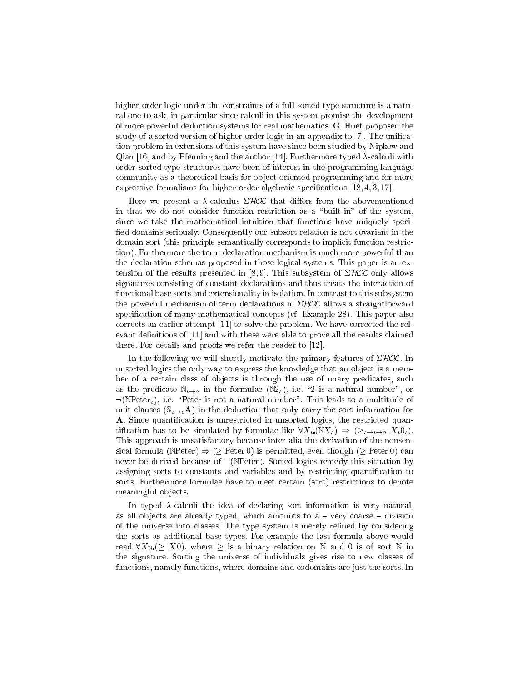higher-order logic under the constraints of a full sorted type structure is a natural one to ask, in particular since calculi in this system promise the development of more powerful dedu
tion systems for real mathemati
s. G. Huet proposed the study of a sorted version of higher-order logic in an appendix to [7]. The unification problem in extensions of this system have sin
e been studied by Nipkow and Qian [16] and by Pfenning and the author [14]. Furthermore typed  $\lambda$ -calculi with order-sorted type stru
tures have been of interest in the programming language ommunity as a theoreti
al basis for ob je
t-oriented programming and for more expressive formalisms for higher-order algebraic specifications  $[18, 4, 3, 17]$ .

Here we present a  $\lambda$ -calculus  $\Sigma HOL$  that differs from the abovementioned in that we do not consider function restriction as a "built-in" of the system, since we take the mathematical intuition that functions have uniquely specified domains seriously. Consequently our subsort relation is not covariant in the domain sort (this principle semantically corresponds to implicit function restriction). Furthermore the term de
laration me
hanism is mu
h more powerful than the de
laration s
hemas proposed in those logi
al systems. This paper is an extension of the results presented in [8,9]. This subsystem of  $\Sigma HOL$  only allows signatures onsisting of onstant de
larations and thus treats the intera
tion of functional base sorts and extensionality in isolation. In contrast to this subsystem the powerful mechanism of term declarations in  $\Sigma HOL$  allows a straightforward specification of many mathematical concepts (cf. Example 28). This paper also corrects an earlier attempt  $[11]$  to solve the problem. We have corrected the relevant definitions of [11] and with these were able to prove all the results claimed there. For details and proofs we refer the reader to  $[12]$ .

In the following we will shortly motivate the primary features of  $\Sigma HOL$ . In unsorted logics the only way to express the knowledge that an object is a member of a certain class of objects is through the use of unary predicates, such as the predicate  $\mathbb{N}_{\ell \to o}$  in the formulae  $(\mathbb{N}_\ell)$ , i.e. "2 is a natural number", or  $\neg(\text{NPeter}_t)$ , i.e. "Peter is not a natural number". This leads to a multitude of unit clauses  $(\mathbb{S}_{\iota \to o}\mathbf{A})$  in the deduction that only carry the sort information for A. Since quantification is unrestricted in unsorted logics, the restricted quantification has to be simulated by formulae like  $\forall X_i. (N X_i) \Rightarrow (\geq_{i \to i \to o} X_i 0_i).$ This approach is unsatisfactory because inter alia the derivation of the nonsensical formula (NPeter)  $\Rightarrow$  ( $\geq$  Peter 0) is permitted, even though ( $\geq$  Peter 0) can never be derived because of  $\neg(\mathbb{N}\text{Peter})$ . Sorted logics remedy this situation by assigning sorts to constants and variables and by restricting quantification to sorts. Furthermore formulae have to meet certain (sort) restrictions to denote meaningful ob je
ts.

In typed  $\lambda$ -calculi the idea of declaring sort information is very natural, as all objects are already typed, which amounts to  $a - \text{very coarse}-\text{division}$ of the universe into classes. The type system is merely refined by considering the sorts as additional base types. For example the last formula above would read  $\forall X_{\mathbb{N}} (\geq X0)$ , where  $\geq$  is a binary relation on N and 0 is of sort N in the signature. Sorting the universe of individuals gives rise to new lasses of fun
tions, namely fun
tions, where domains and odomains are just the sorts. In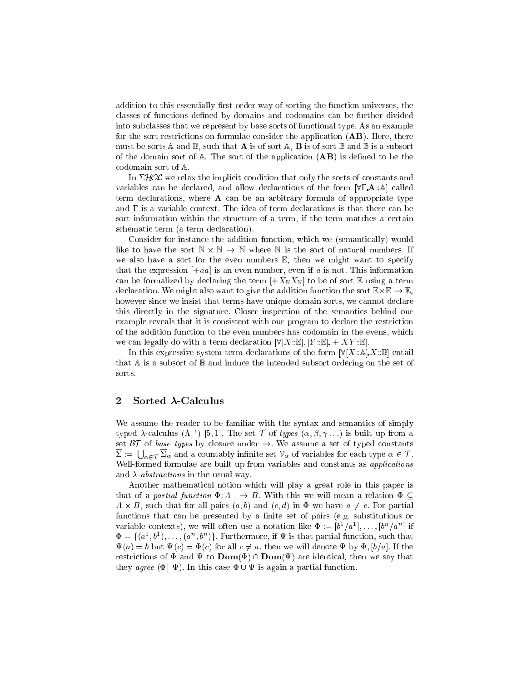addition to this essentially first-order way of sorting the function universes, the classes of functions defined by domains and codomains can be further divided into sub
lasses that we represent by base sorts of fun
tional type. As an example for the sort restrictions on formulae consider the application  $(AB)$ . Here, there must be sorts A and  $\mathbb{B}$ , such that **A** is of sort A, **B** is of sort  $\mathbb{B}$  and  $\mathbb{B}$  is a subsort of the domain sort of  $A$ . The sort of the application  $(AB)$  is defined to be the codomain sort of  $A$ .

In  $\Sigma HOL$  we relax the implicit condition that only the sorts of constants and variables can be declared, and allow declarations of the form  $[\forall \Gamma \cdot \mathbf{A} : \mathbb{A}]$  called term declarations, where **A** can be an arbitrary formula of appropriate type and  $\Gamma$  is a variable context. The idea of term declarations is that there can be sort information within the structure of a term, if the term matches a certain schematic term (a term declaration).

Consider for instance the addition function, which we (semantically) would like to have the sort  $N \times N \to N$  where N is the sort of natural numbers. If we also have a sort for the even numbers  $E$ , then we might want to specify that the expression  $[-aa]$  is an even number, even if a is not. This information can be formalized by declaring the term  $[+X_{\mathbb{N}}X_{\mathbb{N}}]$  to be of sort E using a term declaration. We might also want to give the addition function the sort  $\mathbb{E}\times\mathbb{E}\rightarrow\mathbb{E}.$ however since we insist that terms have unique domain sorts, we cannot declare this directly in the signature. Closer inspection of the semantics behind our example reveals that it is consistent with our program to declare the restriction of the addition fun
tion to the even numbers has odomain in the evens, whi
h we can legally do with a term declaration  $\mathbb{V}[X:\mathbb{E}],[Y:\mathbb{E}]+XY:\mathbb{E}$ .

In this expressive system term declarations of the form  $[\forall [X:\mathbb{A}], X:\mathbb{B}]$  entail that  $A$  is a subsort of  $B$  and induce the intended subsort ordering on the set of sorts.

#### 2 $Sorted$   $\lambda$ -Calculus

We assume the reader to be familiar with the syntax and semantics of simply typed  $\lambda$ -calculus  $(\Lambda^{\rightarrow})$  [5, 1]. The set T of types  $(\alpha, \beta, \gamma \dots)$  is built up from a set  $BT$  of base types by closure under  $\rightarrow$ . We assume a set of typed constants  $\Sigma := \bigcup_{\alpha \in \mathcal{T}} \Sigma_{\alpha}$  and a countably infinite set  $\mathcal{V}_{\alpha}$  of variables for each type  $\alpha \in \mathcal{T}$ . Well-formed formulae are built up from variables and constants as *applications* and  $\lambda$ -*abstractions* in the usual way.

Another mathemati
al notion whi
h will play a great role in this paper is that of a partial function  $\Phi: A \longrightarrow B$ . With this we will mean a relation  $\Phi \subseteq$  $A \times B$ , such that for all pairs  $(a, b)$  and  $(c, d)$  in  $\Phi$  we have  $a \neq c$ . For partial functions that can be presented by a finite set of pairs (e.g. substitutions or variable contexts), we will often use a notation like  $\Phi := [b^1/a^1], \ldots, [b^n/a^n]$  if  $\Phi = \{(a^1, b^1), \ldots, (a^n, b^n)\}\.$  Furthermore, if  $\Psi$  is that partial function, such that  $\Psi(a) = b$  but  $\Psi(c) = \Phi(c)$  for all  $c \neq a$ , then we will denote  $\Psi$  by  $\Phi$ ,  $[b/a]$ . If the restrictions of  $\Phi$  and  $\Psi$  to  $\text{Dom}(\Phi) \cap \text{Dom}(\Psi)$  are identical, then we say that  $t = t$  $\vert \vert \Psi \rangle$ . In this case  $\Phi \cup \Psi$  is again a partial function.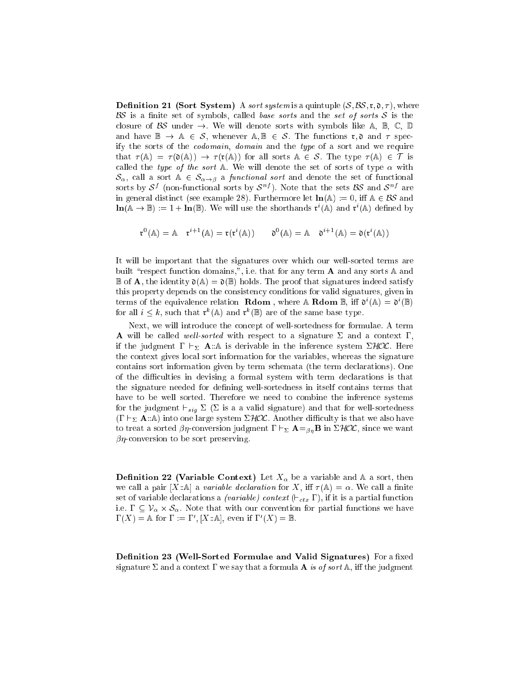**Definition 21 (Sort System)** A *sort system* is a quintuple  $(S, \mathcal{BS}, \mathfrak{r}, \mathfrak{d}, \tau)$ , where  $\mathbf{B}$  is a nite set of symbols, and the set of symbols, set of sorts  $\mathbf{B}$  is the set of sorts S is the set of sorts S is the set of sorts S is the set of sorts S is the set of sorts S is the set of sorts S is the s closure of BS under  $\rightarrow$ . We will denote sorts with symbols like A, B, C, D and have  $\mathbb{B} \to \mathbb{A} \in \mathcal{S}$ , whenever  $\mathbb{A}, \mathbb{B} \in \mathcal{S}$ . The functions  $\mathfrak{r}, \mathfrak{d}$  and  $\tau$  specify the sorts of the *codomain*, *domain* and the *type* of a sort and we require that  $\tau(A) = \tau(\mathfrak{d}(A)) \to \tau(\mathfrak{r}(A))$  for all sorts  $A \in \mathcal{S}$ . The type  $\tau(A) \in \mathcal{T}$  is called the type of the sort  $\mathbb A$ . We will denote the set of sorts of type  $\alpha$  with  $\mathcal{S}_{\alpha}$ , call a sort  $\mathbb{A} \in \mathcal{S}_{\alpha \to \beta}$  a *functional sort* and denote the set of functional sorts by  $\mathcal{S}^*$  (non-functional sorts by  $\mathcal{S}^*$  ). Note that the sets  $\mathcal{D}\mathcal{S}$  and  $\mathcal{S}^*$  are in general distinct (see example 28). Furthermore let  $\text{ln}(\mathbb{A}) := 0$ , iff  $\mathbb{A} \in \mathcal{BS}$  and  $\ln(\mathbb{A} \to \mathbb{B}) := 1 + \ln(\mathbb{B})$ . We will use the shorthands  $\mathfrak{r}^i(\mathbb{A})$  and  $\mathfrak{r}^i(\mathbb{A})$  defined by

$$
\mathfrak{r}^0(\mathbb{A}) = \mathbb{A} \quad \mathfrak{r}^{i+1}(\mathbb{A}) = \mathfrak{r}(\mathfrak{r}^i(\mathbb{A})) \qquad \mathfrak{d}^0(\mathbb{A}) = \mathbb{A} \quad \mathfrak{d}^{i+1}(\mathbb{A}) = \mathfrak{d}(\mathfrak{r}^i(\mathbb{A}))
$$

It will be important that the signatures over whi
h our well-sorted terms are built "respect function domains,", i.e. that for any term **A** and any sorts  $\mathbb{A}$  and  $\mathbb B$  of **A**, the identity  $\mathfrak{d}(\mathbb{A}) = \mathfrak{d}(\mathbb{B})$  holds. The proof that signatures indeed satisfy this property depends on the consistency conditions for valid signatures, given in terms of the equivalence relation **Rdom**, where  $\mathbb{A}$  **Rdom**  $\mathbb{B}$ , iff  $\mathfrak{d}^i(\mathbb{A}) = \mathfrak{d}^i(\mathbb{B})$ for all  $i \leq k$ , such that  $\mathfrak{r}^k(\mathbb{A})$  and  $\mathfrak{r}^k(\mathbb{B})$  are of the same base type.

Next, we will introdu
e the on
ept of well-sortedness for formulae. A term A will be called well-sorted with respect to a signature  $\Sigma$  and a context  $\Gamma$ . if the judgment  $\Gamma \vdash_{\Sigma} \mathbf{A} : \mathbb{A}$  is derivable in the inference system  $\Sigma HOL$ . Here the ontext gives lo
al sort information for the variables, whereas the signature ontains sort information given by term s
hemata (the term de
larations). One of the difficulties in devising a formal system with term declarations is that the signature needed for defining well-sortedness in itself contains terms that have to be well sorted. Therefore we need to combine the inference systems for the judgment  $\frac{su}{su}$   $\rightarrow$  (  $\rightarrow$  as a value signature) and that for well-sortedness  $(\Gamma \vdash_{\Sigma} \mathbf{A} : A)$  into one large system  $\Sigma HOL$ . Another difficulty is that we also have to treat a sorted  $\beta\eta$ -conversion judgment  $\Gamma \vdash_{\Sigma} \mathbf{A} =_{\beta\eta} \mathbf{B}$  in  $\Sigma\mathcal{HOL}$ , since we want  $\beta\eta$ -conversion to be sort preserving.

**Definition 22 (Variable Context)** Let  $X_{\alpha}$  be a variable and A a sort, then we call a pair [X:A] a variable declaration for X, iff  $\tau(A) = \alpha$ . We call a finite set of variables decreases and context ( ) is context ( )  $\cup_{\ell \in \ell} \ell = \ell$  ), if it is an particle function function i.e.  $\sim$  10  $\mu$  - state time with our complete time and the particle of  $\sim$  $\Gamma(X) = \mathbb{A}$  for  $\Gamma := \Gamma', [X : \mathbb{A}],$  even if  $\Gamma'(X) = \mathbb{B}.$ 

Definition 23 (Well-Sorted Formulae and Valid Signatures) For a fixed signature  $\Sigma$  and a context  $\Gamma$  we say that a formula **A** is of sort  $\mathbb{A}$ , iff the judgment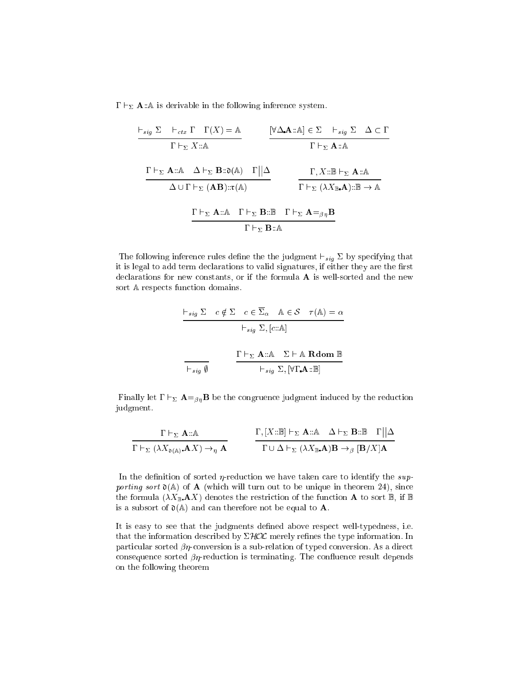$\Gamma \vdash_{\Sigma} \mathbf{A}$ ::A is derivable in the following inference system.

$$
\frac{\begin{array}{c|c|c|c}\n\hline\n\text{F}_{sig} \Sigma & \text{F}_{ctx} \Gamma & \Gamma(X) = \mathbb{A} \\
\hline\n\Gamma \vdash_{\Sigma} X::\mathbb{A} & & \text{F} \uparrow_{\Sigma} \mathbf{A}::\mathbb{A} \\
\hline\n\end{array}\n\qquad\n\frac{\begin{array}{c|c|c}\n\hline\n\text{Y} \Delta \cdot \mathbf{A}::\mathbb{A} \end{array} \in \Sigma & \text{F}_{sig} \Sigma & \Delta \subset \Gamma \\
\hline\n\Gamma \vdash_{\Sigma} \mathbf{A}::\mathbb{A} & & \text{F} \uparrow_{\Sigma} \mathbf{A}::\mathbb{A} \\
\hline\n\Delta \cup \Gamma \vdash_{\Sigma} (\mathbf{A} \mathbf{B})::\mathbf{r}(\mathbb{A}) & & \text{F} \uparrow_{\Sigma} (\lambda X_{\mathbb{B}} \cdot \mathbf{A})::\mathbb{B} \rightarrow \mathbb{A} \\
\hline\n\end{array}
$$
\n
$$
\frac{\begin{array}{c|c|c}\n\Gamma \vdash_{\Sigma} \mathbf{A}::\mathbb{A} & \Gamma \vdash_{\Sigma} \mathbf{B}::\mathbb{B} & \Gamma \vdash_{\Sigma} \mathbf{A} = \beta \eta \mathbf{B} \\
\hline\n\Gamma \vdash_{\Sigma} \mathbf{B}::\mathbb{A} & & \text{F} \uparrow_{\Sigma} \mathbf{B}::\mathbb{A}\n\end{array}
$$

 $\mathbf{f}$  following inference that is given that if  $\mathbf{f}$  by specific that is given that if  $\mathbf{f}$ it is legal to add term declarations to valid signatures, if either they are the first declarations for new constants, or if the formula **A** is well-sorted and the new sort  $A$  respects function domains.

$$
\frac{\vdash_{sig} \Sigma \quad c \notin \Sigma \quad c \in \overline{\Sigma}_{\alpha} \quad \mathbb{A} \in \mathcal{S} \quad \tau(\mathbb{A}) = \alpha}{\vdash_{sig} \Sigma, [c::\mathbb{A}]}
$$
\n
$$
\frac{\Gamma \vdash_{\Sigma} \mathbf{A} :: \mathbb{A} \quad \Sigma \vdash \mathbb{A} \quad \text{Rdom } \mathbb{B}}{\vdash_{sig} \Sigma, [\forall \Gamma \mathbf{A} :: \mathbb{B}]}
$$

Finally let  $\Gamma \vdash_{\Sigma} \mathbf{A} =_{\beta\eta} \mathbf{B}$  be the congruence judgment induced by the reduction judgment.

$$
\frac{\Gamma \vdash_{\Sigma} \mathbf{A} : \mathbb{A}}{\Gamma \vdash_{\Sigma} (\lambda X_{\mathfrak{d}(\mathbb{A})}. \mathbf{A}X) \to_{\eta} \mathbf{A}} \qquad \frac{\Gamma, [X : \mathbb{B}] \vdash_{\Sigma} \mathbf{A} : \mathbb{A} \quad \Delta \vdash_{\Sigma} \mathbf{B} : \mathbb{B} \quad \Gamma || \Delta}{\Gamma \cup \Delta \vdash_{\Sigma} (\lambda X_{\mathbb{B}}. \mathbf{A}) \mathbf{B} \to_{\beta} [\mathbf{B}/X] \mathbf{A}}
$$

In the definition of sorted  $\eta$ -reduction we have taken care to identify the supporting sort  $\mathfrak{d}(\mathbb{A})$  of  $\mathbf{A}$  (which will turn out to be unique in theorem 24), since the formula  $(\lambda X_{\mathbb{B}} \mathbf{A} X)$  denotes the restriction of the function **A** to sort **B**, if **B** is a subsort of  $\mathfrak{d}(\mathbb{A})$  and can therefore not be equal to **A**.

It is easy to see that the judgments defined above respect well-typedness, i.e. that the information described by  $\Sigma HOL$  merely refines the type information. In particular sorted  $\beta\eta$ -conversion is a sub-relation of typed conversion. As a direct consequence sorted  $\beta\eta$ -reduction is terminating. The confluence result depends on the following theorem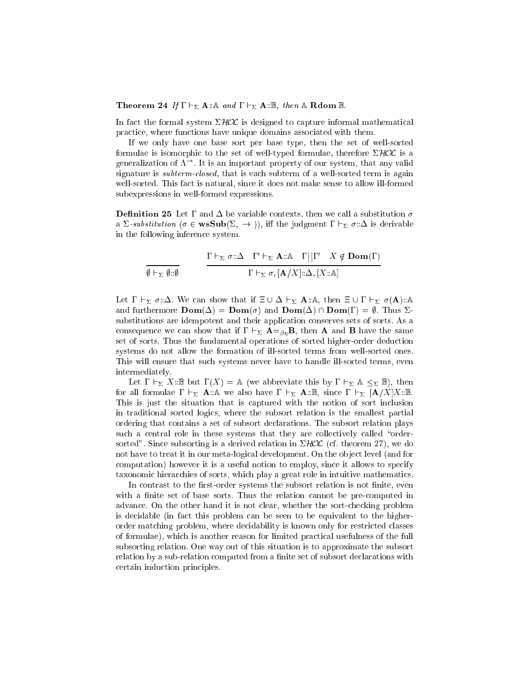### **Theorem 24** If  $\Gamma \vdash_{\Sigma} \mathbf{A} : \mathbb{A}$  and  $\Gamma \vdash_{\Sigma} \mathbf{A} : \mathbb{B}$ , then  $\mathbb{A}$  Rdom  $\mathbb{B}$ .

In fact the formal system  $\Sigma HOL$  is designed to capture informal mathematical pra
ti
e, where fun
tions have unique domains asso
iated with them.

If we only have one base sort per base type, then the set of well-sorted formulae is isomorphic to the set of well-typed formulae, therefore  $\Sigma HOL$  is a generalization of  $\Lambda^{\rightarrow}$ . It is an important property of our system, that any valid signature is *subterm-closed*, that is each subterm of a well-sorted term is again well-sorted. This fact is natural, since it does not make sense to allow ill-formed subexpressions in well-formed expressions.

**Definition 25** Let  $\Gamma$  and  $\Delta$  be variable contexts, then we call a substitution  $\sigma$ a  $\Sigma$ -substitution ( $\sigma \in \mathbf{wsSub}(\Sigma, \to)$ ), iff the judgment  $\Gamma \vdash_{\Sigma} \sigma : \Delta$  is derivable in the following inferen
e system.

$$
\frac{\Gamma \vdash_{\Sigma} \sigma : \Delta \quad \Gamma' \vdash_{\Sigma} \mathbf{A} : \mathbb{A} \quad \Gamma \mid |\Gamma' \quad X \notin \mathbf{Dom}(\Gamma)}{\Gamma \vdash_{\Sigma} \sigma, [\mathbf{A}/X] : \Delta, [X : \mathbb{A}]}
$$

Let  $\Gamma \vdash_{\Sigma} \sigma : \Delta$ . We can show that if  $\Xi \cup \Delta \vdash_{\Sigma} A : A$ , then  $\Xi \cup \Gamma \vdash_{\Sigma} \sigma(A) : A$ and furthermore  $\text{Dom}(\Delta) = \text{Dom}(\sigma)$  and  $\text{Dom}(\Delta) \cap \text{Dom}(\Gamma) = \emptyset$ . Thus  $\Sigma$ substitutions are idempotent and their application conserves sets of sorts. As a consequence we can show that if  $\Gamma \vdash_{\Sigma} A =_{\beta\eta} B$ , then **A** and **B** have the same set of sorts. Thus the fundamental operations of sorted higher-order deduction systems do not allow the formation of ill-sorted terms from well-sorted ones. This will ensure that such systems never have to handle ill-sorted terms, even intermediately.

Let  $\Gamma \vdash_{\Sigma} X:\mathbb{B}$  but  $\Gamma(X) = \mathbb{A}$  (we abbreviate this by  $\Gamma \vdash_{\Sigma} \mathbb{A} \leq_{\Sigma} \mathbb{B}$ ), then for all formulae  $\Gamma \vdash_{\Sigma} \mathbf{A} : A$  we also have  $\Gamma \vdash_{\Sigma} \mathbf{A} : B$ , since  $\Gamma \vdash_{\Sigma} [\mathbf{A}/X]X : B$ . This is just the situation that is aptured with the notion of sort in
lusion in traditional sorted logi
s, where the subsort relation is the smallest partial ordering that ontains a set of subsort de
larations. The subsort relation plays such a central role in these systems that they are collectively called "ordersorted". Since subsorting is a derived relation in  $\Sigma HOL$  (cf. theorem 27), we do not have to treat it in our meta-logical development. On the object level (and for omputation) however it is a useful notion to employ, sin
e it allows to spe
ify taxonomic hierarchies of sorts, which play a great role in intuitive mathematics.

In contrast to the first-order systems the subsort relation is not finite, even with a finite set of base sorts. Thus the relation cannot be pre-computed in advance. On the other hand it is not clear, whether the sort-checking problem is de
idable (in fa
t this problem an be seen to be equivalent to the higherorder mat
hing problem, where de
idability is known only for restri
ted lasses of formulae), which is another reason for limited practical usefulness of the full subsorting relation. One way out of this situation is to approximate the subsort relation by a sub-relation computed from a finite set of subsort declarations with ertain indu
tion prin
iples.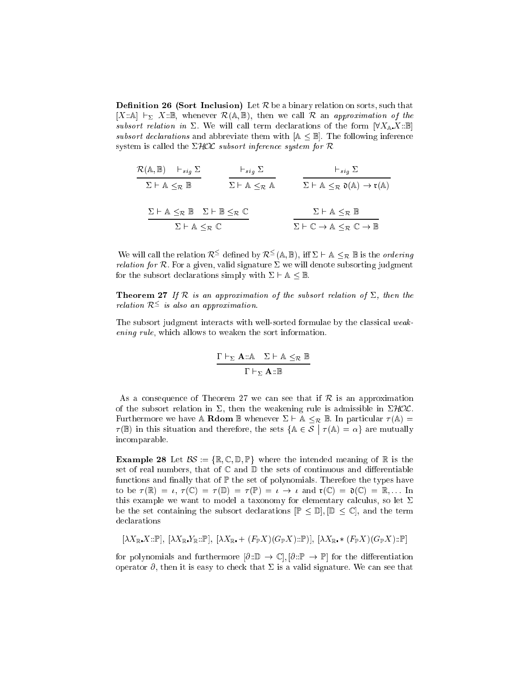**Definition 26 (Sort Inclusion)** Let  $R$  be a binary relation on sorts, such that  $[X:\mathbb{A}] \vdash_{\Sigma} X:\mathbb{B}$ , whenever  $\mathcal{R}(\mathbb{A}, \mathbb{B})$ , then we call  $\mathcal{R}$  an approximation of the subsort relation in  $\Sigma$ . We will call term declarations of the form  $\forall X_{\mathbb{A}} X:\mathbb{B}$ subsort declarations and abbreviate them with  $A \leq B$ . The following inference system is called the  $\Sigma HOL$  subsort inference system for R

| $\mathcal{R}(\mathbb{A}, \mathbb{B})$           | $\vdash_{sig} \Sigma$                           | $\vdash_{sig} \Sigma$                                                                              | $\vdash_{sig} \Sigma$ |
|-------------------------------------------------|-------------------------------------------------|----------------------------------------------------------------------------------------------------|-----------------------|
| $\Sigma \vdash A \leq_{\mathcal{R}} \mathbb{B}$ | $\Sigma \vdash A \leq_{\mathcal{R}} \mathbb{A}$ | $\Sigma \vdash A \leq_{\mathcal{R}} \mathfrak{d}(\mathbb{A}) \rightarrow \mathfrak{r}(\mathbb{A})$ |                       |
| $\Sigma \vdash A \leq_{\mathcal{R}} \mathbb{B}$ | $\Sigma \vdash B \leq_{\mathcal{R}} \mathbb{C}$ | $\Sigma \vdash A \leq_{\mathcal{R}} \mathbb{B}$                                                    |                       |
| $\Sigma \vdash A \leq_{\mathcal{R}} \mathbb{C}$ | $\Sigma \vdash A \leq_{\mathcal{R}} \mathbb{B}$ |                                                                                                    |                       |

We will call the relation  $\mathcal{R}^{\leq}$  defined by  $\mathcal{R}^{\leq}(\mathbb{A}, \mathbb{B}),$  iff  $\Sigma \vdash \mathbb{A} \leq_{\mathcal{R}} \mathbb{B}$  is the *ordering* relation for  $\mathcal{L}$  and  $\mathcal{L}$  and  $\mathcal{L}$  are subsorting in the subsorting judgment subsorting judgment subsorting judgment subsorting judgment subsorting judgment subsorting  $\mathcal{L}$ for the subsort declarations simply with  $\Sigma \vdash A \leq \mathbb{B}$ .

**Theorem 27** If R is an approximation of the subsort relation of  $\Sigma$ , then the relation  $\kappa$  = is also an approximation.

The subsort judgment interacts with well-sorted formulae by the classical weakening rule, whi
h allows to weaken the sort information.

$$
\frac{\Gamma \vdash_{\Sigma} A :: \mathbb{A} \quad \Sigma \vdash \mathbb{A} \leq_{\mathcal{R}} \mathbb{B}}{\Gamma \vdash_{\Sigma} A :: \mathbb{B}}
$$

As a consequence of Theorem 27 we can see that if  $\mathcal R$  is an approximation of the subsort relation in  $\Sigma$ , then the weakening rule is admissible in  $\Sigma HOL$ . Furthermore we have A **Rdom** B whenever  $\Sigma \vdash A \leq_R B$ . In particular  $\tau(A) =$  $\tau(\mathbb{B})$  in this situation and therefore, the sets  $\{A \in \mathcal{S} \mid \tau(A) = \alpha\}$  are mutually in
omparable.

**Example 28** Let  $\mathcal{BS} := \{\mathbb{R}, \mathbb{C}, \mathbb{D}, \mathbb{P}\}\$  where the intended meaning of  $\mathbb{R}$  is the set of real numbers, that of  $\mathbb C$  and  $\mathbb D$  the sets of continuous and differentiable functions and finally that of  $\mathbb P$  the set of polynomials. Therefore the types have to be  $\tau(\mathbb{R}) = \iota$ ,  $\tau(\mathbb{C}) = \tau(\mathbb{D}) = \tau(\mathbb{P}) = \iota \to \iota$  and  $\mathfrak{r}(\mathbb{C}) = \mathfrak{d}(\mathbb{C}) = \mathbb{R}, \ldots$  In this example we want to model a taxonomy for elementary calculus, so let  $\Sigma$ be the set containing the subsort declarations  $[\mathbb{P} \leq \mathbb{D}], [\mathbb{D} \leq \mathbb{C}],$  and the term de
larations

$$
[\lambda X_{\mathbb{R}} X : \mathbb{P}], [\lambda X_{\mathbb{R}} Y_{\mathbb{R}} : \mathbb{P}], [\lambda X_{\mathbb{R}} + (F_{\mathbb{P}} X)(G_{\mathbb{P}} X) : \mathbb{P}], [\lambda X_{\mathbb{R}} * (F_{\mathbb{P}} X)(G_{\mathbb{P}} X) : \mathbb{P}]
$$

for polynomials and furthermore  $[\partial:\mathbb{D}\to\mathbb{C}], [\partial:\mathbb{P}\to\mathbb{P}]$  for the differentiation operator  $\partial$ , then it is easy to check that  $\Sigma$  is a valid signature. We can see that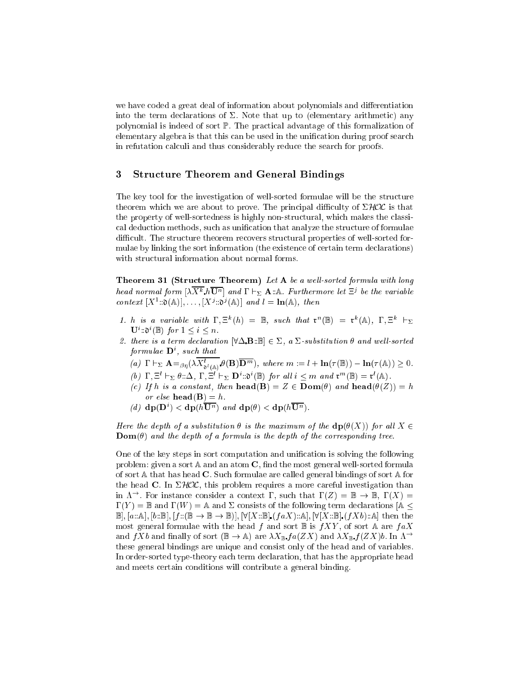we have coded a great deal of information about polynomials and differentiation into the term declarations of  $\Sigma$ . Note that up to (elementary arithmetic) any polynomial is indeed of sort P. The pra
ti
al advantage of this formalization of elementary algebra is that this can be used in the unification during proof search in refutation calculi and thus considerably reduce the search for proofs.

#### 3Stru
ture Theorem and General Bindings

The key tool for the investigation of well-sorted formulae will be the structure theorem which we are about to prove. The principal difficulty of  $\Sigma HOL$  is that the property of well-sortedness is highly non-structural, which makes the classical deduction methods, such as unification that analyze the structure of formulae difficult. The structure theorem recovers structural properties of well-sorted formulae by linking the sort information (the existence of certain term declarations) with structural information about normal forms.

Theorem 31 (Structure Theorem) Let A be a well-sorted formula with long head normal form  $[\lambda X^k h \mathbf{U}^n]$  and  $\Gamma \vdash_{\Sigma} \mathbf{A}$  . A. Furthermore let  $\Xi^j$  be the variable context  $[X^1::0(\mathbb{A})], \ldots, [X^j::0^j(\mathbb{A})]$  and  $l = \ln(\mathbb{A}),$  then

- 1. h is a variable with  $\Gamma$ ,  $\Xi^k(h) = \mathbb{B}$ , such that  $\mathfrak{r}^n(\mathbb{B}) = \mathfrak{r}^k(\mathbb{A})$ ,  $\Gamma$ ,  $\Xi^k \vdash_{\Sigma}$  $\mathbf{U}^i$ ::0<sup>i</sup>(B) for  $1 \leq i \leq n$ .
- 2. there is a term declaration  $\forall \Delta \mathbf{B} : \mathbb{B} \in \Sigma$ , a  $\Sigma$ -substitution  $\theta$  and well-sorted formulae **D** , such that
	- (a)  $\Gamma \vdash_{\Sigma} \mathbf{A} =_{\beta\eta} (\lambda X_{\mathbf{a}^l(\mathbb{A})}^l \mathbf{\theta}(\mathbf{B}) \mathbf{D}^m)$ , where  $m := l + \ln(\tau(\mathbb{B})) \ln(\tau(\mathbb{A})) \geq 0$ .
	- (b)  $\Gamma, \Xi^l \vdash_{\Sigma} \theta : \Delta, \Gamma, \Xi^l \vdash_{\Sigma} \mathbf{D}^l : \mathfrak{d}^l(\mathbb{B})$  for all  $i \leq m$  and  $\mathfrak{r}^m(\mathbb{B}) = \mathfrak{r}^l(\mathbb{A})$ .
	- (c) If h is a constant, then  $head(B) = Z \in Dom(\theta)$  and  $head(\theta(Z)) = h$ or else **head**(**B**) = h.
	- (d)  $dp(D^i) < dp(hU^n)$  and  $dp(\theta) < dp(hU^n)$ .

Here the depth of a substitution  $\theta$  is the maximum of the  $d\mathbf{p}(\theta(X))$  for all  $X \in$  $\mathbf{Dom}(\theta)$  and the depth of a formula is the depth of the corresponding tree.

One of the key steps in sort computation and unification is solving the following problem: given a sort  $\mathbb A$  and an atom  $\mathbb C$ , find the most general well-sorted formula of sort  $\mathbb A$  that has head **C**. Such formulae are called general bindings of sort  $\mathbb A$  for the head C. In  $\Sigma HOL$ , this problem requires a more careful investigation than in  $\Lambda^{\rightarrow}$ . For instance consider a context  $\Gamma$ , such that  $\Gamma(Z) = \mathbb{B} \to \mathbb{B}$ ,  $\Gamma(X) =$  $\Gamma(Y) = \mathbb{B}$  and  $\Gamma(W) = \mathbb{A}$  and  $\Sigma$  consists of the following term declarations  $\mathbb{A} \leq$  $\mathbb{B}, [\alpha:\mathbb{A}], [b:\mathbb{B}], [f:(\mathbb{B} \to \mathbb{B} \to \mathbb{B})], [\forall [X:\mathbb{B}], (faX):\mathbb{A}], [\forall [X:\mathbb{B}], (fXb):\mathbb{A}]$  then the most general formulae with the head f and sort  $\mathbb B$  is  $fXY$ , of sort A are  $faX$ and  $f X b$  and finally of sort  $(\mathbb{B} \to \mathbb{A})$  are  $\lambda X_{\mathbb{B}} f a(Z X)$  and  $\lambda X_{\mathbb{B}} f (Z X) b$ . In  $\Lambda^{\to}$ these general bindings are unique and onsist only of the head and of variables. In order-sorted type-theory each term declaration, that has the appropriate head and meets ertain onditions will ontribute a general binding.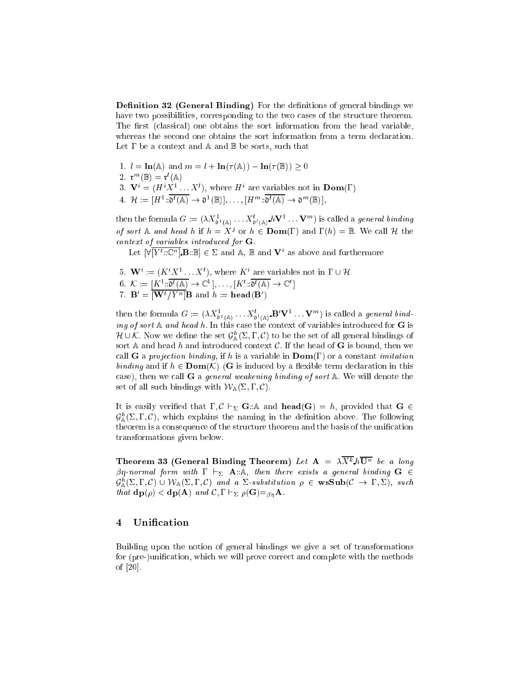Definition 32 (General Binding) For the definitions of general bindings we have two possibilities, corresponding to the two cases of the structure theorem. The first (classical) one obtains the sort information from the head variable, whereas the second one obtains the sort information from a term declaration. Let  $\Gamma$  be a context and  $\mathbb A$  and  $\mathbb B$  be sorts, such that

\n- 1. 
$$
l = \ln(\mathbb{A})
$$
 and  $m = l + \ln(\tau(\mathbb{A})) - \ln(\tau(\mathbb{B})) \geq 0$
\n- 2.  $\mathbf{r}^m(\mathbb{B}) = \mathbf{r}^l(\mathbb{A})$
\n- 3.  $\mathbf{V}^i = (H^i X^1 \dots X^l)$ , where  $H^i$  are variables not in  $\mathbf{Dom}(\Gamma)$
\n- 4.  $\mathcal{H} := [H^1 : \mathfrak{d}^l(\mathbb{A}) \to \mathfrak{d}^1(\mathbb{B})], \ldots, [H^m : \mathfrak{d}^l(\mathbb{A}) \to \mathfrak{d}^m(\mathbb{B})],$
\n

then the formula  $G:=(\lambda X^1_{\mathfrak{d}^1(\mathbb{A})}\ldots X^t_{\mathfrak{d}^l(\mathbb{A})}\; h\mathbf{V}^1\ldots \mathbf{V}^m)$  is called a *general binding* of sort A and head h if  $h = X^j$  or  $h \in \text{Dom}(\Gamma)$  and  $\Gamma(h) = \mathbb{B}$ . We call H the ontext of variables introdu
ed for G.

Let  $[\forall [Y^t..\mathbb{C}^n]$ . B: B  $\in \Sigma$  and A, B and  $V^i$  as above and furthermore

- 5.  $\mathbf{W}^i := (K^i X^1 \dots X^i)$ , where  $K^i$  are variables not in  $\Gamma \cup \mathcal{H}$
- $6. \mathcal{K} := [K^1 \colon \mathfrak{d}^l(\mathbb{A}) \to \mathbb{C}^1], \dots, [K^t \colon \mathfrak{d}^l(\mathbb{A}) \to \mathbb{C}^t]$
- 7.  $\mathbf{B}' = [\mathbf{W}^t / Y^n] \mathbf{B}$  and  $h := \mathbf{head}(\mathbf{B}')$

then the formula  $G := (\lambda X_{\mathfrak{d}^1(\mathbb{A})}^1 \dots X_{\mathfrak{d}^l(\mathbb{A})}^l \mathbf{B}' \mathbf{V}^1 \dots \mathbf{V}^m)$  is called a *general bind*ing of sort  $\mathbb A$  and head h. In this case the context of variables introduced for G is  $\pi$   $\cup$   $\kappa$ . Now we define the set  $\mathcal{G}_{\mathbb{A}}(2,1,\mathsf{C})$  to be the set of all general bindings of sort A and head h and introduced context  $\mathcal{C}$ . If the head of G is bound, then we call **G** a projection binding, if h is a variable in  $\text{Dom}(\Gamma)$  or a constant *imitation* binding and if  $h \in \text{Dom}(\mathcal{K})$  (G is induced by a flexible term declaration in this case), then we call **G** a *general weakening binding of sort*  $\mathbb{A}$ . We will denote the set of all such bindings with  $W_{\mathbb{A}}(\Sigma,\Gamma,\mathcal{C})$ .

It is easily verified that  $\Gamma, \mathcal{C} \vdash_{\Sigma} \mathbf{G} : \mathbb{A}$  and  $\mathbf{head}(\mathbf{G}) = h$ , provided that  $\mathbf{G} \in$  $\mathcal{G}_{\mathbb{A}}^{\times}(\mathbb{Z}, \mathbf{1}, \mathbb{C})$ , which explains the naming in the definition above. The following theorem is a consequence of the structure theorem and the basis of the unification transformations given below.

Theorem 33 (General Binding Theorem) Let  $\mathbf{A} = \lambda X^k h \mathbf{U}^n$  be a long  $\beta\eta$ -normal form with  $\Gamma \vdash_{\Sigma} A:\mathbb{A}$ , then there exists a general binding  $G \in$  $\mathcal{G}_{\mathbb{A}}^{\times}(2,1,\mathcal{C}) \cup \nu_{\mathbb{A}}(2,1,\mathcal{C})$  and a 2-substitution  $\rho \in \mathbf{w}\mathbf{S}\mathbf{u}\mathbf{b}(\mathcal{C} \to 1,2)$ , such that  $dp(\rho) < dp(A)$  and  $C, \Gamma \vdash_{\Sigma} \rho(G) =_{\beta n} A$ .

#### $\overline{4}$ Unification

Building upon the notion of general bindings we give a set of transformations for (pre-)unification, which we will prove correct and complete with the methods of  $[20]$ .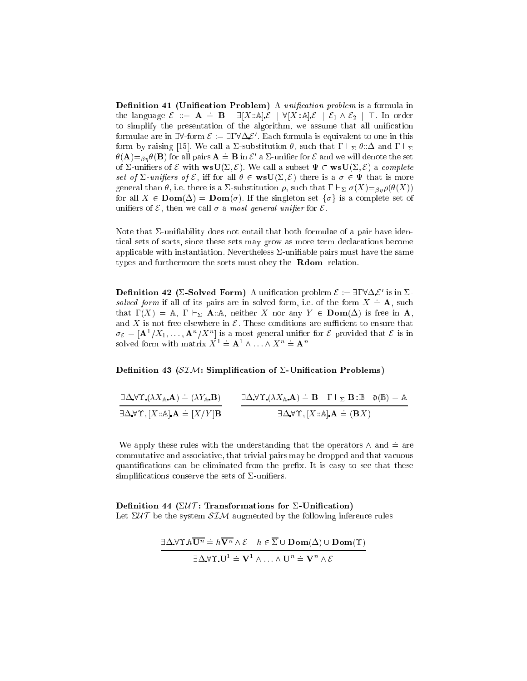Definition 41 (Unification Problem) A *unification problem* is a formula in the language  $\mathcal{E} ::= \mathbf{A} = \mathbf{B} \mid \exists [X : \mathbb{A}] \mathcal{E} \mid \forall [X : \mathbb{A}] \mathcal{E} \mid \mathcal{E}_1 \wedge \mathcal{E}_2 \mid \top$ . In order to simplify the presentation of the algorithm, we assume that all unification formulae are in 50-form  $\varepsilon := 51$  ( $\Delta \varepsilon$  . Each formula is equivalent to one in this form by raising [15]. We call a  $\Sigma$ -substitution  $\theta$ , such that  $\Gamma \vdash_{\Sigma} \theta : \Delta$  and  $\Gamma \vdash_{\Sigma}$  $\theta(\mathbf{A}) =_{\beta n} \theta(\mathbf{B})$  for all pairs  $\mathbf{A} = \mathbf{B}$  in  $\mathcal{E}'$  a  $\Sigma$ -unifier for  $\mathcal E$  and we will denote the set of  $\Sigma$ -unifiers of  $\mathcal E$  with  $\text{wsU}(\Sigma, \mathcal E)$ . We call a subset  $\Psi \subset \text{wsU}(\Sigma, \mathcal E)$  a complete set of  $\Sigma$ -unifiers of  $\mathcal{E}$ , iff for all  $\theta \in \mathbf{wsU}(\Sigma, \mathcal{E})$  there is a  $\sigma \in \Psi$  that is more general than  $\theta$ , i.e. there is a  $\Sigma$ -substitution  $\rho$ , such that  $\Gamma \vdash_{\Sigma} \sigma(X) =_{\beta \eta} \rho(\theta(X))$ for all  $X \in \text{Dom}(\Delta) = \text{Dom}(\sigma)$ . If the singleton set  $\{\sigma\}$  is a complete set of unifiers of  $\mathcal{E}$ , then we call  $\sigma$  a most general unifier for  $\mathcal{E}$ .

Note that  $\Sigma$ -unifiability does not entail that both formulae of a pair have identi
al sets of sorts, sin
e these sets may grow as more term de
larations be
ome applicable with instantiation. Nevertheless  $\Sigma$ -unifiable pairs must have the same types and furthermore the sorts must obey the **Rdom** relation.

**Definition 42 (2-Solved Form)** A unincation problem  $\zeta := \exists 1 \vee \Delta \zeta$  is in  $\Delta$ solved form if all of its pairs are in solved form, i.e. of the form  $X = \mathbf{A}$ , such that  $\Gamma(X) = \mathbb{A}, \Gamma \vdash_{\Sigma} \mathbf{A} : \mathbb{A}, \text{ neither } X \text{ nor any } Y \in \text{Dom}(\Delta) \text{ is free in } \mathbf{A},$ and X is not free elsewhere in  $\mathcal E$ . These conditions are sufficient to ensure that  $\sigma_{\mathcal{E}} = [\mathbf{A}^1/X_1, \dots, \mathbf{A}^n/X^n]$  is a most general unifier for  $\mathcal E$  provided that  $\mathcal E$  is in solved form with matrix  $X^1 = \mathbf{A}^1 \wedge \ldots \wedge X^n = \mathbf{A}^n$ 

### Definition 43 ( $\mathcal{SIM}$ : Simplification of  $\Sigma$ -Unification Problems)

| $\exists \Delta \forall \Upsilon (\lambda X_{\mathbb{A}}.\mathbf{A}) = (\lambda Y_{\mathbb{A}}.\mathbf{B})$ | $\exists \Delta \forall \Upsilon (\lambda X_{\mathbb{A}}.\mathbf{A}) = \mathbf{B} \quad \Gamma \vdash_{\Sigma} \mathbf{B} : \mathbb{B} \quad \mathfrak{d}(\mathbb{B}) = \mathbb{A}$ |  |  |
|-------------------------------------------------------------------------------------------------------------|-------------------------------------------------------------------------------------------------------------------------------------------------------------------------------------|--|--|
| $\exists \Delta \forall \Upsilon$ , $[X:\A]$ $A = [X/Y]$ <b>B</b>                                           | $\exists \Delta \forall \Upsilon, [X : \mathbb{A}] \mathbf{A} = (\mathbf{B}X)$                                                                                                      |  |  |

We apply these rules with the understanding that the operators  $\wedge$  and  $\doteq$  are ommutative and asso
iative, that trivial pairs may be dropped and that va
uous quantifications can be eliminated from the prefix. It is easy to see that these simplifications conserve the sets of  $\Sigma$ -unifiers.

## Definition 44 ( $\Sigma \mathcal{U} \mathcal{T}$ : Transformations for  $\Sigma$ -Unification) Let  $\Sigma \mathcal{U} \mathcal{T}$  be the system  $\mathcal{S} \mathcal{I} \mathcal{M}$  augmented by the following inference rules

$$
\frac{\exists \Delta \forall \Upsilon \cdot h \overline{\mathbf{U}^n} = h \overline{\mathbf{V}^n} \wedge \mathcal{E} \quad h \in \overline{\Sigma} \cup \mathbf{Dom}(\Delta) \cup \mathbf{Dom}(\Upsilon)}{\exists \Delta \forall \Upsilon \cdot \mathbf{U}^1 = \mathbf{V}^1 \wedge \ldots \wedge \mathbf{U}^n = \mathbf{V}^n \wedge \mathcal{E}}
$$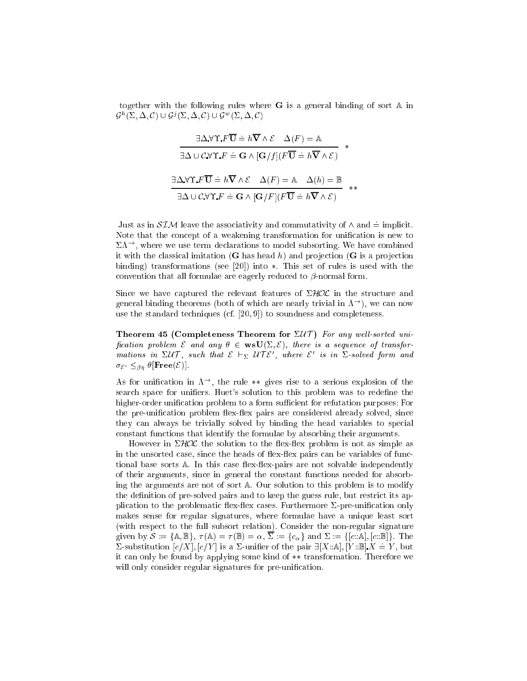together with the following rules where  $\bf{G}$  is a general binding of sort  $\bf{A}$  in  $\mathcal{G}^{\leftarrow}(\vartriangle,\vartriangle,\mathsf{C})\cup\mathcal{G}^{\mathcal{J}}(\vartriangle,\vartriangle,\mathsf{C})\cup\mathcal{G}^{\leftarrow}(\vartriangle,\vartriangle,\mathsf{C})$ 

$$
\frac{\exists \Delta \forall \Upsilon \cdot F \overline{\mathbf{U}} = h \overline{\mathbf{V}} \wedge \mathcal{E} \quad \Delta(F) = \mathbb{A}}{\exists \Delta \cup \mathcal{C} \forall \Upsilon \cdot F = \mathbf{G} \wedge [\mathbf{G}/f](F \overline{\mathbf{U}} = h \overline{\mathbf{V}} \wedge \mathcal{E})} *\n\frac{\exists \Delta \forall \Upsilon \cdot F \overline{\mathbf{U}} = h \overline{\mathbf{V}} \wedge \mathcal{E} \quad \Delta(F) = \mathbb{A} \quad \Delta(h) = \mathbb{B}}{\exists \Delta \cup \mathcal{C} \forall \Upsilon \cdot F = \mathbf{G} \wedge [\mathbf{G}/F](F \overline{\mathbf{U}} = h \overline{\mathbf{V}} \wedge \mathcal{E})} **
$$

Just as in  $SIM$  leave the associativity and commutativity of  $\wedge$  and  $\doteq$  implicit. Note that the concept of a weakening transformation for unification is new to  $\Sigma \Lambda^{\rightarrow}$ , where we use term declarations to model subsorting. We have combined it with the classical imitation (**G** has head h) and projection (**G** is a projection binding) transformations (see  $[20]$ ) into  $*$ . This set of rules is used with the convention that all formulae are eagerly reduced to  $\beta$ -normal form.

Since we have captured the relevant features of  $\Sigma HOL$  in the structure and general binding theorems (both of which are nearly trivial in  $\Lambda^{\rightarrow}$ ), we can now use the standard techniques (cf.  $[20, 9]$ ) to soundness and completeness.

Theorem 45 (Completeness Theorem for  $\Sigma U T$ ) For any well-sorted unification problem E and any  $\theta \in \textbf{wsU}(\Sigma, \mathcal{E})$ , there is a sequence of transformations in  $\mathcal{Z}(I)$  , such that  $\mathcal{L}\subset \Gamma \Sigma$   $\mathcal{U}+ \mathcal{L}$  , where  $\mathcal{L}$  is in  $\mathcal{Z}$ -solved form and  $\sigma_{\mathcal{E}'} \leq_{\beta n} \theta$ [Free $(\mathcal{E})$ ].

As for unification in  $\Lambda^{\rightarrow}$ , the rule \*\* gives rise to a serious explosion of the search space for unifiers. Huet's solution to this problem was to redefine the higher-order unification problem to a form sufficient for refutation purposes: For the pre-unification problem flex-flex pairs are considered already solved, since they an always be trivially solved by binding the head variables to spe
ial onstant fun
tions that identify the formulae by absorbing their arguments.

However in  $\Sigma HOL$  the solution to the flex-flex problem is not as simple as in the unsorted case, since the heads of flex-flex pairs can be variables of functional base sorts  $\mathbb A$ . In this case flex-flex-pairs are not solvable independently of their arguments, sin
e in general the onstant fun
tions needed for absorbing the arguments are not of sort A . Our solution to this problem is to modify the definition of pre-solved pairs and to keep the guess rule, but restrict its application to the problematic flex-flex cases. Furthermore  $\Sigma$ -pre-unification only makes sense for regular signatures, where formulae have a unique least sort (with respe
t to the full subsort relation). Consider the non-regular signature given by  $\mathcal{S} := \{ \mathbb{A}, \mathbb{B} \}, \ \tau(\mathbb{A}) = \tau(\mathbb{B}) = \alpha, \ \overline{\Sigma} := \{ c_{\alpha} \} \text{ and } \Sigma := \{ [c : \mathbb{A}], [c : \mathbb{B}] \}. \text{ The }$  $\Sigma$ -substitution  $[c/X], [c/Y]$  is a  $\Sigma$ -unifier of the pair  $\exists [X : A], [Y : B]$ .  $X = Y$ , but it can only be found by applying some kind of \*\* transformation. Therefore we will only consider regular signatures for pre-unification.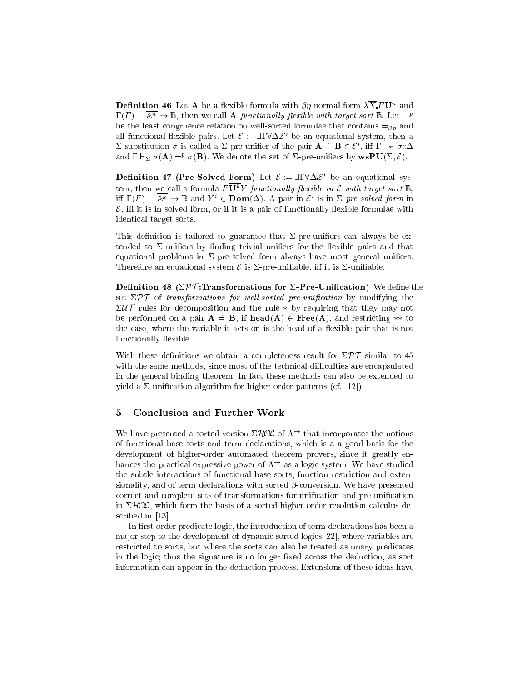**Definition 46** Let  $\mathbf A$  be a flexible formula with  $\beta\eta$ -normal form  $\lambda X$   $F\mathbf{U}^n$  and  $\Gamma(F) = \overline{\mathbb{A}^n} \to \mathbb{B}$ , then we call **A** functionally flexible with target sort  $\mathbb{B}$ . Let  $=^p$ be the least congruence relation on well-sorted formulae that contains  $=_{\beta n}$  and all functional nexture pairs. Let  $\varepsilon := \exists 1 \vee \Delta \, \varepsilon$  be an equational system, then a  $\Sigma$ -substitution  $\sigma$  is called a  $\Sigma$ -pre-unifier of the pair  $\mathbf{A} = \mathbf{B} \in \mathcal{E}'$ , iff  $\Gamma \vdash_{\Sigma} \sigma : \Delta$ and  $1 \vdash_{\Sigma} \sigma(\mathbf{A}) =^{\nu} \sigma(\mathbf{B}).$  We denote the set of 2-pre-unifiers by  $\mathbf{wspU}(\Sigma, \mathcal{E}).$ 

**Definition 47 (Pre-Solved Form)** Let  $\varepsilon := \exists 1 \vee \Delta \varepsilon$  be an equational system, then we call a formula  $F\mathbf{U}^k Y$  functionally flexible in E with target sort  $\mathbb{B}$ . iff  $\Gamma(F) = \mathbb{A}^k \to \mathbb{B}$  and  $Y^i \in \text{Dom}(\Delta)$ . A pair in  $\mathcal{E}'$  is in  $\Sigma$ -pre-solved form in  $\mathcal{E}$ , iff it is in solved form, or if it is a pair of functionally flexible formulae with identi
al target sorts.

This definition is tailored to guarantee that  $\Sigma$ -pre-unifiers can always be extended to  $\Sigma$ -unifiers by finding trivial unifiers for the flexible pairs and that equational problems in  $\Sigma$ -pre-solved form always have most general unifiers. Therefore an equational system  $\mathcal E$  is  $\Sigma$ -pre-unifiable, iff it is  $\Sigma$ -unifiable.

Definition 48 ( $\Sigma \mathcal{PT}$ :Transformations for  $\Sigma$ -Pre-Unification) We define the set  $\Sigma PT$  of transformations for well-sorted pre-unification by modifying the  $\Sigma U \mathcal{T}$  rules for decomposition and the rule  $*$  by requiring that they may not be performed on a pair  $A = B$ , if  $head(A) \in Free(A)$ , and restricting \*\* to the case, where the variable it acts on is the head of a flexible pair that is not functionally flexible.

With these definitions we obtain a completeness result for  $\Sigma \mathcal{PT}$  similar to 45 with the same methods, since most of the technical difficulties are encapsulated in the general binding theorem. In fa
t these methods an also be extended to yield a  $\Sigma$ -unification algorithm for higher-order patterns (cf. [12]).

#### $\overline{5}$ **Conclusion and Further Work**

We have presented a sorted version  $\Sigma HOL$  of  $\Lambda^{\rightarrow}$  that incorporates the notions of fun
tional base sorts and term de
larations, whi
h is a a good basis for the development of higher-order automated theorem provers, since it greatly enhances the practical expressive power of  $\Lambda^{\rightarrow}$  as a logic system. We have studied the subtle interactions of functional base sorts, function restriction and extensionality, and of term declarations with sorted  $\beta$ -conversion. We have presented correct and complete sets of transformations for unification and pre-unification in  $\Sigma HOL$ , which form the basis of a sorted higher-order resolution calculus described in [13].

In first-order predicate logic, the introduction of term declarations has been a major step to the development of dynamic sorted logics [22], where variables are restri
ted to sorts, but where the sorts an also be treated as unary predi
ates in the logic; thus the signature is no longer fixed across the deduction, as sort information an appear in the dedu
tion pro
ess. Extensions of these ideas have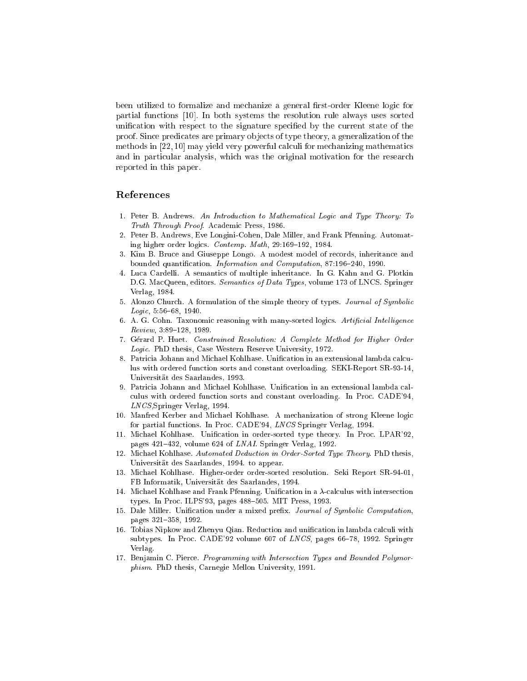been utilized to formalize and mechanize a general first-order Kleene logic for partial functions [10]. In both systems the resolution rule always uses sorted unification with respect to the signature specified by the current state of the proof. Sin
e predi
ates are primary ob je
ts of type theory, a generalization of the methods in  $[22, 10]$  may yield very powerful calculi for mechanizing mathematics and in particular analysis, which was the original motivation for the research reported in this paper.

# Referen
es

- 1. Peter B. Andrews. An Introduction to Mathematical Logic and Type Theory: To Truth Through Proof. Academic Press, 1986.
- 2. Peter B. Andrews, Eve Longini-Cohen, Dale Miller, and Frank Pfenning. Automating higher order logics. Contemp. Math, 29:169-192, 1984.
- 3. Kim B. Bru
e and Giuseppe Longo. A modest model of re
ords, inheritan
e and bounded quantification. Information and Computation, 87:196-240, 1990.
- 4. Lu
a Cardelli. A semanti
s of multiple inheritan
e. In G. Kahn and G. Plotkin D.G. MacQueen, editors. Semantics of Data Types, volume 173 of LNCS. Springer Verlag, 1984.
- 5. Alonzo Chur
h. A formulation of the simple theory of types. Journal of Symboli  $Logic, 5:56-68, 1940.$
- 6. A. G. Cohn. Taxonomic reasoning with many-sorted logics. Artificial Intelligence  $Review, 3:89-128, 1989.$
- 7. Gerard P. Huet. Constrained Resolution: A Complete Method for Higher Order Logi
. PhD thesis, Case Western Reserve University, 1972.
- 8. Patricia Johann and Michael Kohlhase. Unification in an extensional lambda calculus with ordered function sorts and constant overloading. SEKI-Report SR-93-14, Universitat des Saarlandes, 1993.
- 9. Patricia Johann and Michael Kohlhase. Unification in an extensional lambda calculus with ordered function sorts and constant overloading. In Proc. CADE'94, LNCS,Springer Verlag, 1994.
- 10. Manfred Kerber and Mi
hael Kohlhase. A me
hanization of strong Kleene logi for partial fun
tions. In Pro
. CADE'94, LNCS Springer Verlag, 1994.
- 11. Michael Kohlhase. Unification in order-sorted type theory. In Proc. LPAR'92. pages 421-432, volume 624 of LNAI. Springer Verlag, 1992.
- 12. Michael Kohlhase. Automated Deduction in Order-Sorted Type Theory. PhD thesis. Universitat des Saarlandes, 1994. to appear.
- 13. Mi
hael Kohlhase. Higher-order order-sorted resolution. Seki Report SR-94-01, FB Informatik, Universitat des Saarlandes, 1994.
- 14. Michael Kohlhase and Frank Pfenning. Unification in a  $\lambda$ -calculus with intersection types. In Proc. ILPS'93, pages 488-505. MIT Press, 1993.
- 15. Dale Miller. Unification under a mixed prefix. Journal of Symbolic Computation, pages 321-358, 1992.
- 16. Tobias Nipkow and Zhenyu Qian. Reduction and unification in lambda calculi with subtypes. In Proc. CADE'92 volume  $607$  of LNCS, pages  $66-78$ , 1992. Springer Verlag.
- 17. Benjamin C. Pier
e. Programming with Interse
tion Types and Bounded Polymorphism. PhD thesis, Carnegie Mellon University, 1991.